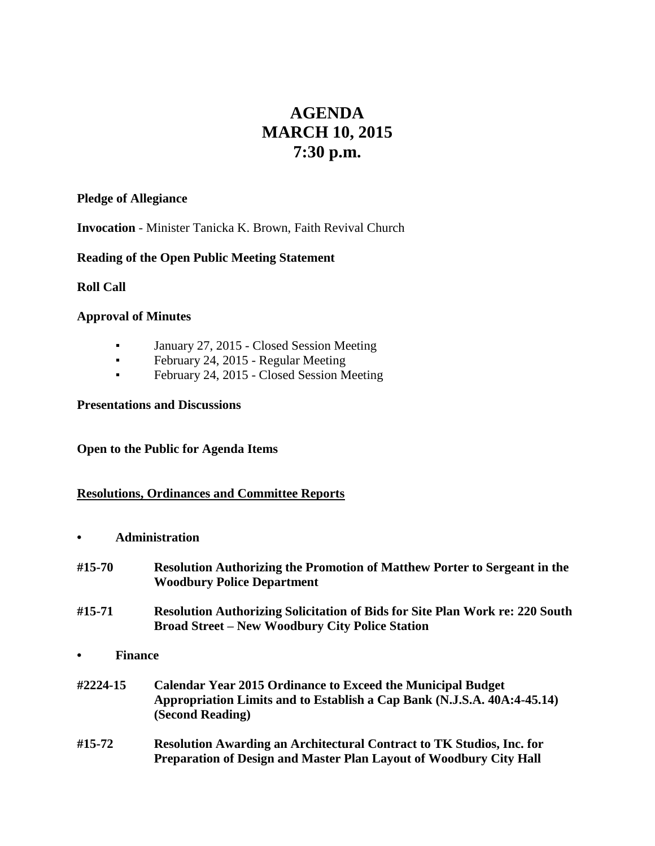# **AGENDA MARCH 10, 2015 7:30 p.m.**

### **Pledge of Allegiance**

**Invocation** - Minister Tanicka K. Brown, Faith Revival Church

# **Reading of the Open Public Meeting Statement**

**Roll Call**

### **Approval of Minutes**

- January 27, 2015 Closed Session Meeting
- **•** February 24, 2015 Regular Meeting
- **•** February 24, 2015 Closed Session Meeting

### **Presentations and Discussions**

## **Open to the Public for Agenda Items**

# **Resolutions, Ordinances and Committee Reports**

**• Administration**

| #15-70                      | <b>Resolution Authorizing the Promotion of Matthew Porter to Sergeant in the</b><br><b>Woodbury Police Department</b>                                             |
|-----------------------------|-------------------------------------------------------------------------------------------------------------------------------------------------------------------|
| #15-71                      | <b>Resolution Authorizing Solicitation of Bids for Site Plan Work re: 220 South</b><br><b>Broad Street – New Woodbury City Police Station</b>                     |
| <b>Finance</b><br>$\bullet$ |                                                                                                                                                                   |
| #2224-15                    | <b>Calendar Year 2015 Ordinance to Exceed the Municipal Budget</b><br>Appropriation Limits and to Establish a Cap Bank (N.J.S.A. 40A:4-45.14)<br>(Second Reading) |
| #15-72                      | <b>Resolution Awarding an Architectural Contract to TK Studios, Inc. for</b><br><b>Preparation of Design and Master Plan Layout of Woodbury City Hall</b>         |